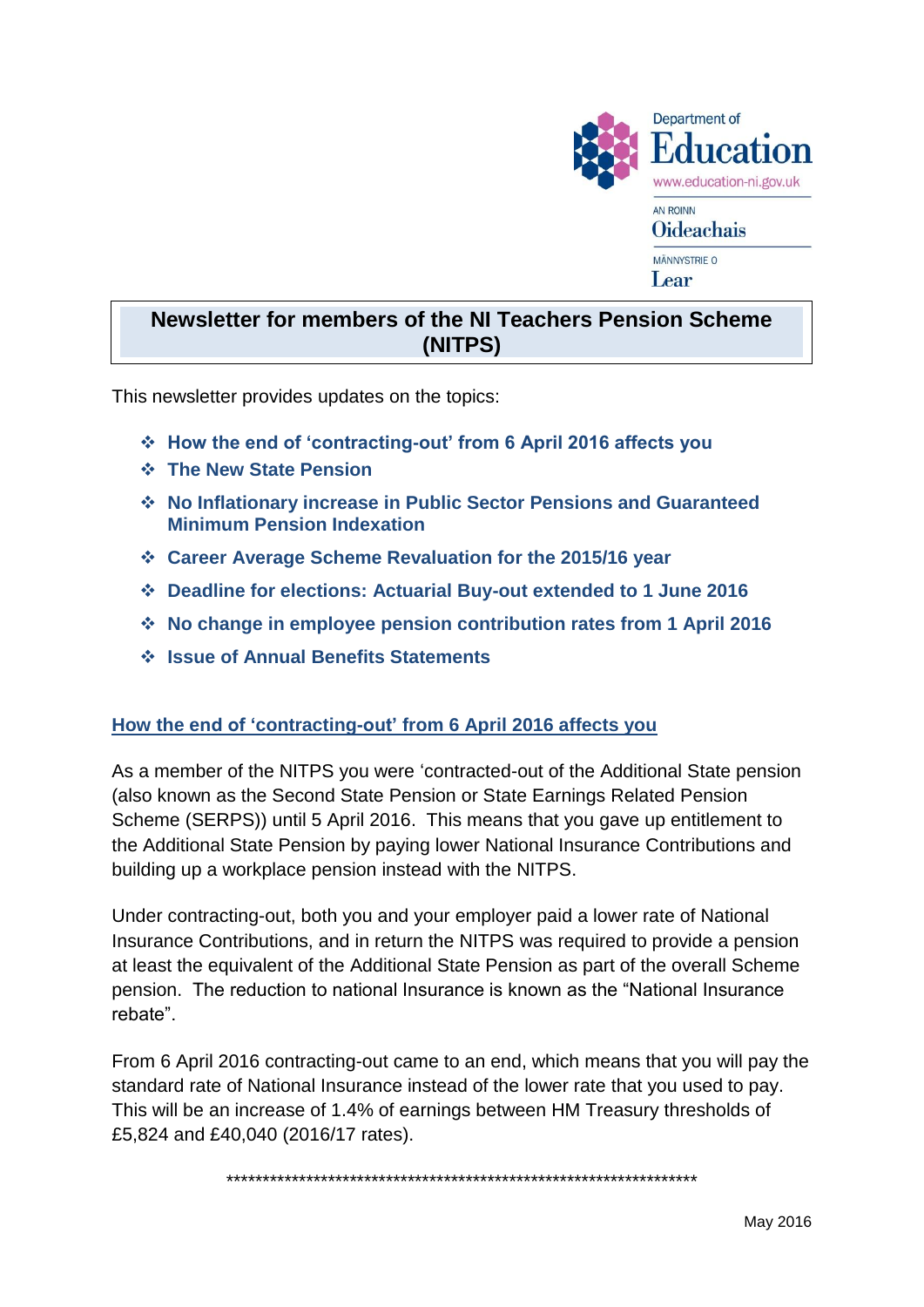

# **Newsletter for members of the NI Teachers Pension Scheme (NITPS)**

This newsletter provides updates on the topics:

- **How the end of 'contracting-out' from 6 April 2016 affects you**
- **The New State Pension**
- **No Inflationary increase in Public Sector Pensions and Guaranteed Minimum Pension Indexation**
- **Career Average Scheme Revaluation for the 2015/16 year**
- **Deadline for elections: Actuarial Buy-out extended to 1 June 2016**
- **No change in employee pension contribution rates from 1 April 2016**
- **Issue of Annual Benefits Statements**

#### **How the end of 'contracting-out' from 6 April 2016 affects you**

As a member of the NITPS you were 'contracted-out of the Additional State pension (also known as the Second State Pension or State Earnings Related Pension Scheme (SERPS)) until 5 April 2016. This means that you gave up entitlement to the Additional State Pension by paying lower National Insurance Contributions and building up a workplace pension instead with the NITPS.

Under contracting-out, both you and your employer paid a lower rate of National Insurance Contributions, and in return the NITPS was required to provide a pension at least the equivalent of the Additional State Pension as part of the overall Scheme pension. The reduction to national Insurance is known as the "National Insurance rebate".

From 6 April 2016 contracting-out came to an end, which means that you will pay the standard rate of National Insurance instead of the lower rate that you used to pay. This will be an increase of 1.4% of earnings between HM Treasury thresholds of £5,824 and £40,040 (2016/17 rates).

\*\*\*\*\*\*\*\*\*\*\*\*\*\*\*\*\*\*\*\*\*\*\*\*\*\*\*\*\*\*\*\*\*\*\*\*\*\*\*\*\*\*\*\*\*\*\*\*\*\*\*\*\*\*\*\*\*\*\*\*\*\*\*\*\*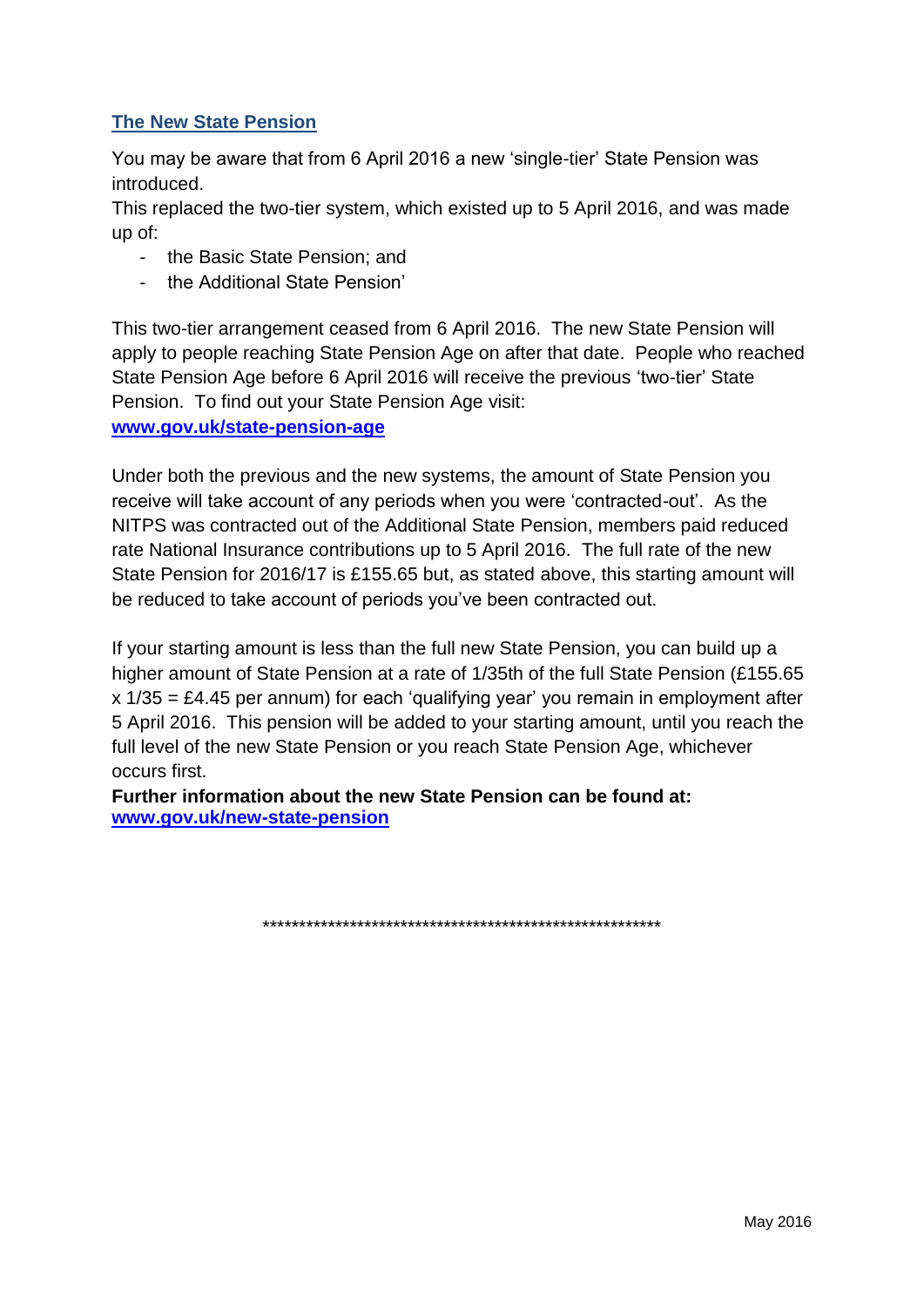### **The New State Pension**

You may be aware that from 6 April 2016 a new 'single-tier' State Pension was introduced.

This replaced the two-tier system, which existed up to 5 April 2016, and was made up of:

- the Basic State Pension; and
- the Additional State Pension'

This two-tier arrangement ceased from 6 April 2016. The new State Pension will apply to people reaching State Pension Age on after that date. People who reached State Pension Age before 6 April 2016 will receive the previous 'two-tier' State Pension. To find out your State Pension Age visit:

**[www.gov.uk/state-pension-age](http://www.gov.uk/state-pension-age)**

Under both the previous and the new systems, the amount of State Pension you receive will take account of any periods when you were 'contracted-out'. As the NITPS was contracted out of the Additional State Pension, members paid reduced rate National Insurance contributions up to 5 April 2016. The full rate of the new State Pension for 2016/17 is £155.65 but, as stated above, this starting amount will be reduced to take account of periods you've been contracted out.

If your starting amount is less than the full new State Pension, you can build up a higher amount of State Pension at a rate of 1/35th of the full State Pension (£155.65 x 1/35 = £4.45 per annum) for each 'qualifying year' you remain in employment after 5 April 2016. This pension will be added to your starting amount, until you reach the full level of the new State Pension or you reach State Pension Age, whichever occurs first.

**Further information about the new State Pension can be found at: [www.gov.uk/new-state-pension](http://www.gov.uk/new-state-pension)**

\*\*\*\*\*\*\*\*\*\*\*\*\*\*\*\*\*\*\*\*\*\*\*\*\*\*\*\*\*\*\*\*\*\*\*\*\*\*\*\*\*\*\*\*\*\*\*\*\*\*\*\*\*\*\*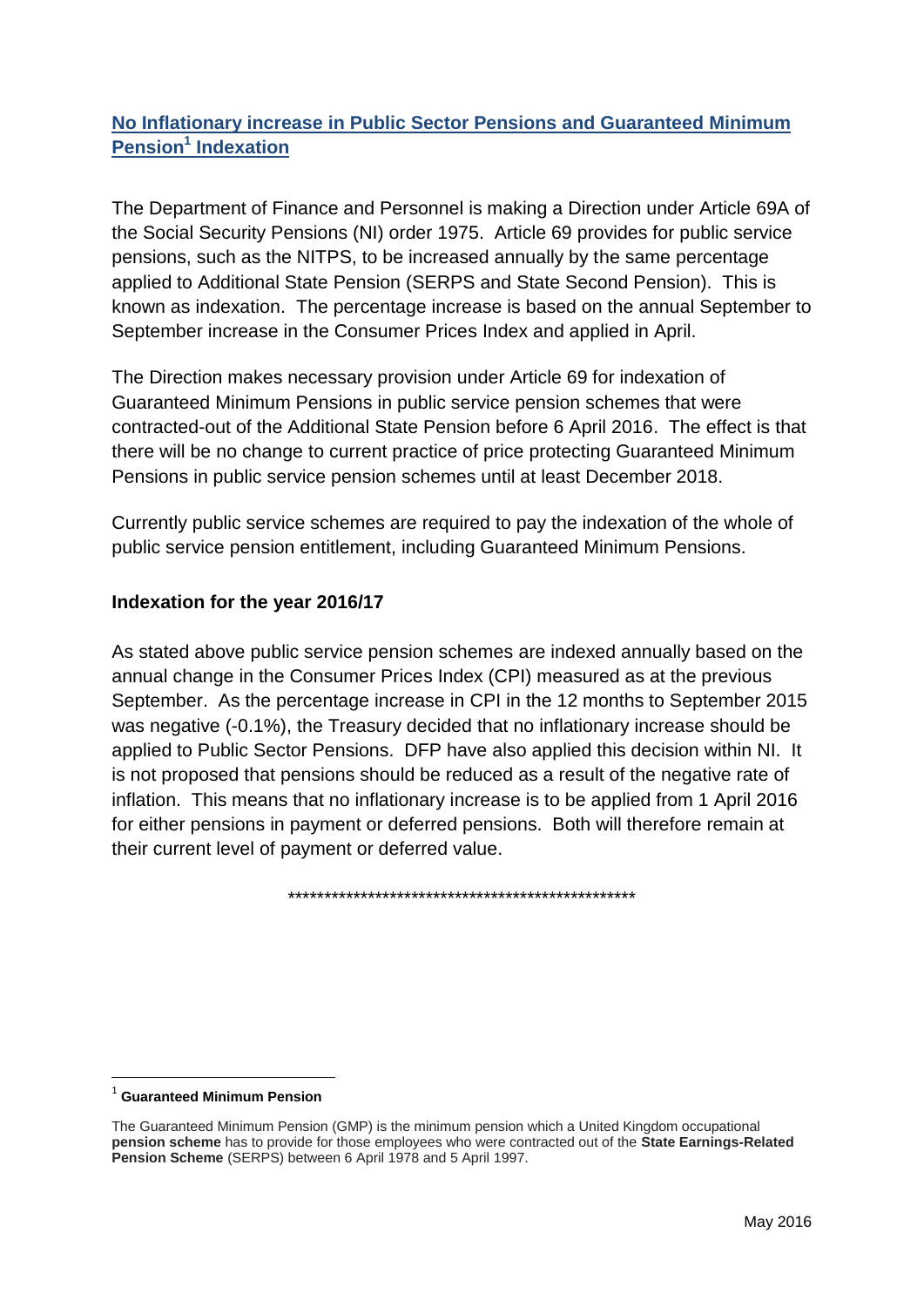# **No Inflationary increase in Public Sector Pensions and Guaranteed Minimum Pension<sup>1</sup> Indexation**

The Department of Finance and Personnel is making a Direction under Article 69A of the Social Security Pensions (NI) order 1975. Article 69 provides for public service pensions, such as the NITPS, to be increased annually by the same percentage applied to Additional State Pension (SERPS and State Second Pension). This is known as indexation. The percentage increase is based on the annual September to September increase in the Consumer Prices Index and applied in April.

The Direction makes necessary provision under Article 69 for indexation of Guaranteed Minimum Pensions in public service pension schemes that were contracted-out of the Additional State Pension before 6 April 2016. The effect is that there will be no change to current practice of price protecting Guaranteed Minimum Pensions in public service pension schemes until at least December 2018.

Currently public service schemes are required to pay the indexation of the whole of public service pension entitlement, including Guaranteed Minimum Pensions.

### **Indexation for the year 2016/17**

As stated above public service pension schemes are indexed annually based on the annual change in the Consumer Prices Index (CPI) measured as at the previous September. As the percentage increase in CPI in the 12 months to September 2015 was negative (-0.1%), the Treasury decided that no inflationary increase should be applied to Public Sector Pensions. DFP have also applied this decision within NI. It is not proposed that pensions should be reduced as a result of the negative rate of inflation. This means that no inflationary increase is to be applied from 1 April 2016 for either pensions in payment or deferred pensions. Both will therefore remain at their current level of payment or deferred value.

\*\*\*\*\*\*\*\*\*\*\*\*\*\*\*\*\*\*\*\*\*\*\*\*\*\*\*\*\*\*\*\*\*\*\*\*\*\*\*\*\*\*\*\*\*\*\*\*

 $\overline{\phantom{a}}$ 

<sup>1</sup> **Guaranteed Minimum Pension**

The Guaranteed Minimum Pension (GMP) is the minimum pension which a United Kingdom occupational **pension scheme** has to provide for those employees who were contracted out of the **State Earnings-Related Pension Scheme** (SERPS) between 6 April 1978 and 5 April 1997.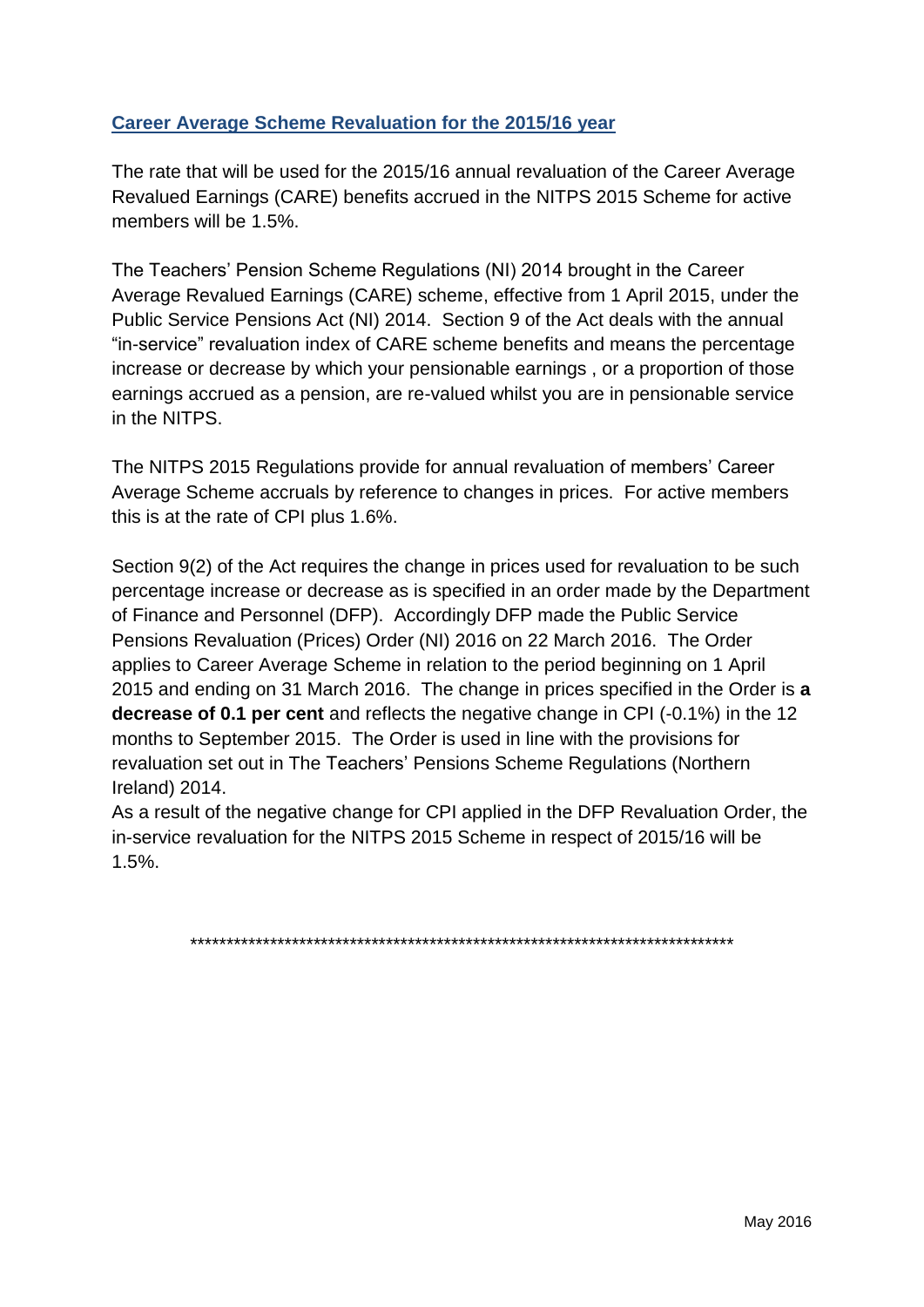# **Career Average Scheme Revaluation for the 2015/16 year**

The rate that will be used for the 2015/16 annual revaluation of the Career Average Revalued Earnings (CARE) benefits accrued in the NITPS 2015 Scheme for active members will be 1.5%.

The Teachers' Pension Scheme Regulations (NI) 2014 brought in the Career Average Revalued Earnings (CARE) scheme, effective from 1 April 2015, under the Public Service Pensions Act (NI) 2014. Section 9 of the Act deals with the annual "in-service" revaluation index of CARE scheme benefits and means the percentage increase or decrease by which your pensionable earnings , or a proportion of those earnings accrued as a pension, are re-valued whilst you are in pensionable service in the NITPS.

The NITPS 2015 Regulations provide for annual revaluation of members' Career Average Scheme accruals by reference to changes in prices. For active members this is at the rate of CPI plus 1.6%.

Section 9(2) of the Act requires the change in prices used for revaluation to be such percentage increase or decrease as is specified in an order made by the Department of Finance and Personnel (DFP). Accordingly DFP made the Public Service Pensions Revaluation (Prices) Order (NI) 2016 on 22 March 2016. The Order applies to Career Average Scheme in relation to the period beginning on 1 April 2015 and ending on 31 March 2016. The change in prices specified in the Order is **a decrease of 0.1 per cent** and reflects the negative change in CPI (-0.1%) in the 12 months to September 2015. The Order is used in line with the provisions for revaluation set out in The Teachers' Pensions Scheme Regulations (Northern Ireland) 2014.

As a result of the negative change for CPI applied in the DFP Revaluation Order, the in-service revaluation for the NITPS 2015 Scheme in respect of 2015/16 will be 1.5%.

\*\*\*\*\*\*\*\*\*\*\*\*\*\*\*\*\*\*\*\*\*\*\*\*\*\*\*\*\*\*\*\*\*\*\*\*\*\*\*\*\*\*\*\*\*\*\*\*\*\*\*\*\*\*\*\*\*\*\*\*\*\*\*\*\*\*\*\*\*\*\*\*\*\*\*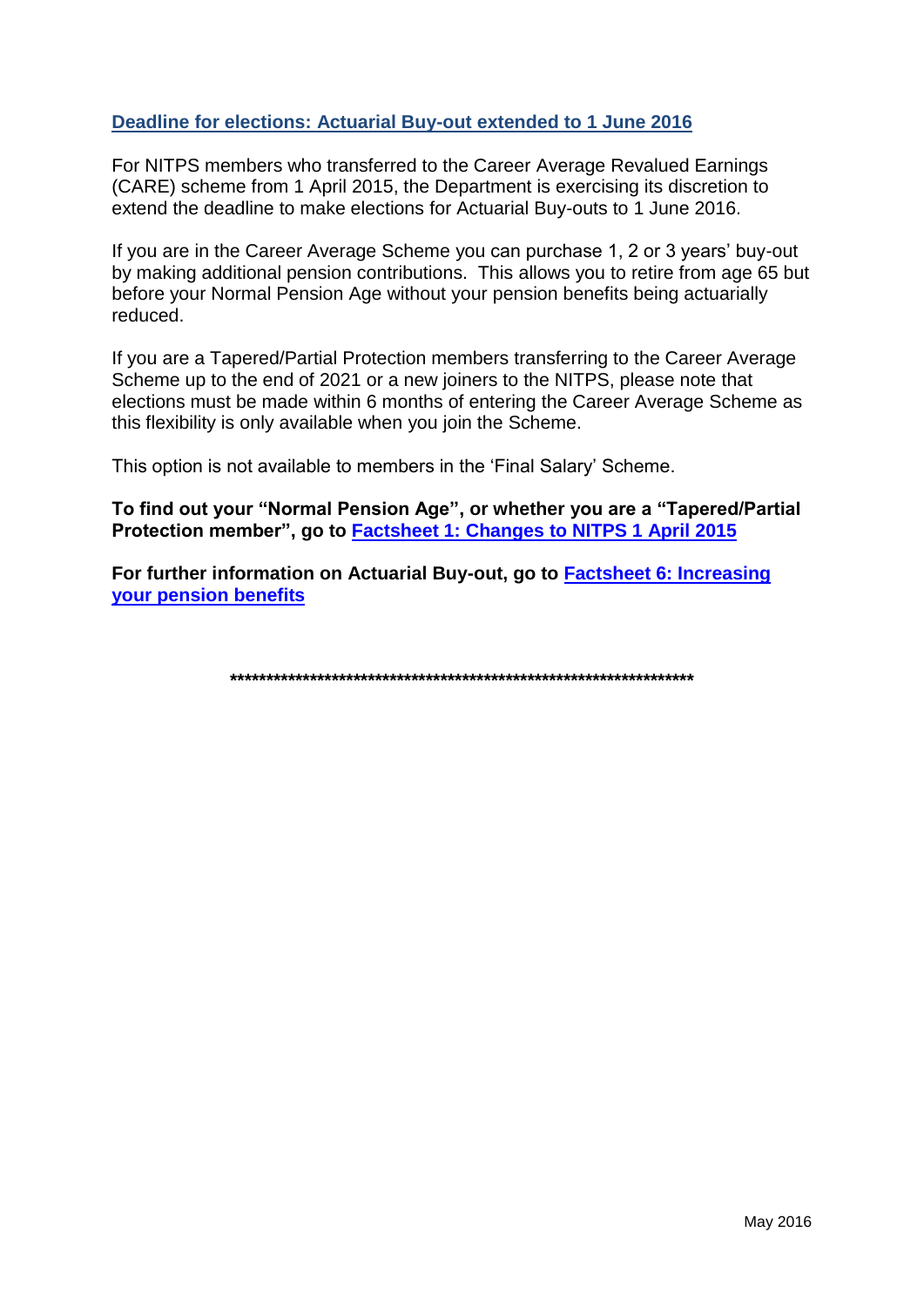#### Deadline for elections: Actuarial Buy-out extended to 1 June 2016

For NITPS members who transferred to the Career Average Revalued Earnings (CARE) scheme from 1 April 2015, the Department is exercising its discretion to extend the deadline to make elections for Actuarial Buy-outs to 1 June 2016.

If you are in the Career Average Scheme you can purchase 1, 2 or 3 years' buy-out by making additional pension contributions. This allows you to retire from age 65 but before your Normal Pension Age without your pension benefits being actuarially reduced

If you are a Tapered/Partial Protection members transferring to the Career Average Scheme up to the end of 2021 or a new joiners to the NITPS, please note that elections must be made within 6 months of entering the Career Average Scheme as this flexibility is only available when you join the Scheme.

This option is not available to members in the 'Final Salary' Scheme.

To find out your "Normal Pension Age", or whether you are a "Tapered/Partial Protection member", go to Factsheet 1: Changes to NITPS 1 April 2015

For further information on Actuarial Buy-out, go to **Factsheet 6: Increasing** your pension benefits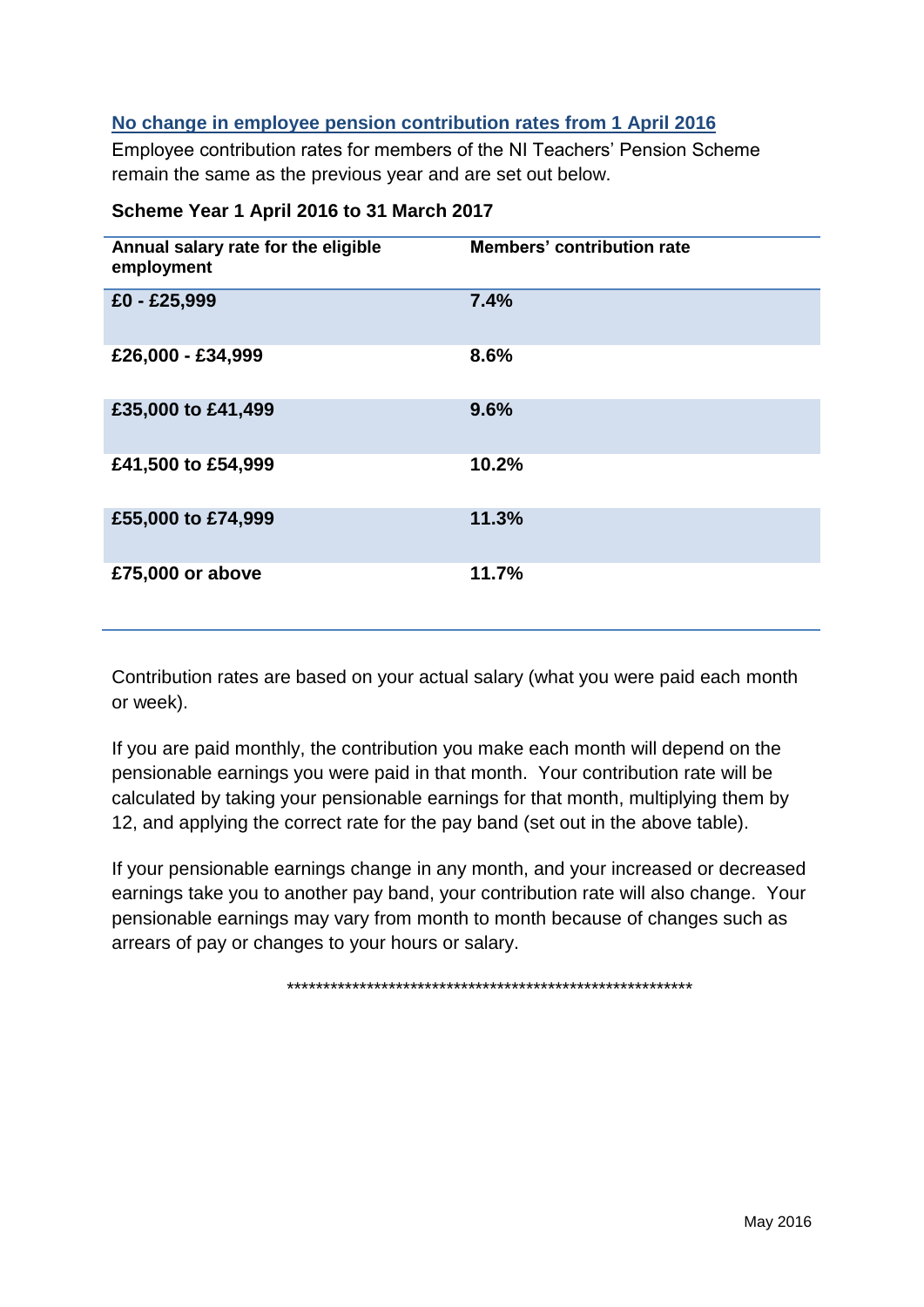#### No change in employee pension contribution rates from 1 April 2016

Employee contribution rates for members of the NI Teachers' Pension Scheme remain the same as the previous year and are set out below.

| Annual salary rate for the eligible<br>employment | <b>Members' contribution rate</b> |
|---------------------------------------------------|-----------------------------------|
| £0 - £25,999                                      | 7.4%                              |
| £26,000 - £34,999                                 | 8.6%                              |
| £35,000 to £41,499                                | 9.6%                              |
| £41,500 to £54,999                                | 10.2%                             |
| £55,000 to £74,999                                | 11.3%                             |
| £75,000 or above                                  | 11.7%                             |

#### Scheme Year 1 April 2016 to 31 March 2017

Contribution rates are based on your actual salary (what you were paid each month or week).

If you are paid monthly, the contribution you make each month will depend on the pensionable earnings you were paid in that month. Your contribution rate will be calculated by taking your pensionable earnings for that month, multiplying them by 12, and applying the correct rate for the pay band (set out in the above table).

If your pensionable earnings change in any month, and your increased or decreased earnings take you to another pay band, your contribution rate will also change. Your pensionable earnings may vary from month to month because of changes such as arrears of pay or changes to your hours or salary.